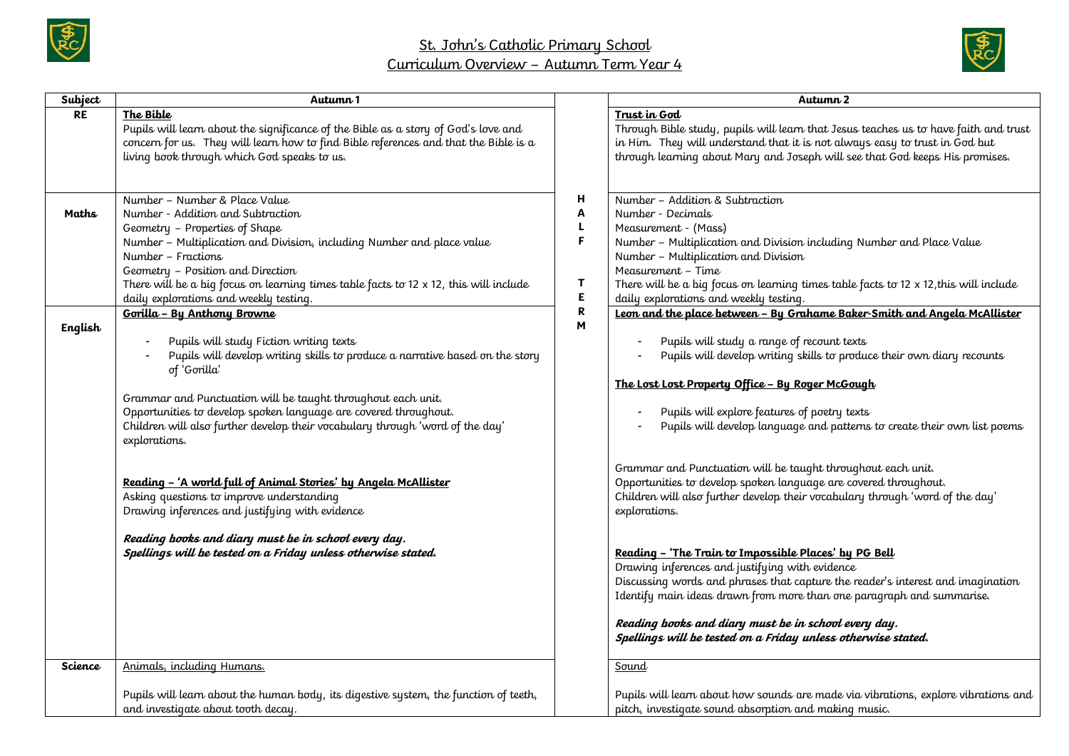



| Subject   | Autumn 1                                                                                                                                                                                                                                                                                                                                                                                                     |                                                 | Autumn 2                                                                                                                                                                                                                                                                                                                                                                                                                                                                                                                                                                                                                            |
|-----------|--------------------------------------------------------------------------------------------------------------------------------------------------------------------------------------------------------------------------------------------------------------------------------------------------------------------------------------------------------------------------------------------------------------|-------------------------------------------------|-------------------------------------------------------------------------------------------------------------------------------------------------------------------------------------------------------------------------------------------------------------------------------------------------------------------------------------------------------------------------------------------------------------------------------------------------------------------------------------------------------------------------------------------------------------------------------------------------------------------------------------|
| <b>RE</b> | The Bible<br>Pupils will learn about the significance of the Bible as a story of God's love and<br>concern for us. They will learn how to find Bible references and that the Bible is a<br>living book through which God speaks to us.                                                                                                                                                                       |                                                 | Trust in God<br>Through Bible study, pupils will learn that Jesus teaches us to have faith and trust<br>in Him. They will understand that it is not always easy to trust in God but<br>through learning about Mary and Joseph will see that God keeps His promises.                                                                                                                                                                                                                                                                                                                                                                 |
| Maths     | Number - Number & Place Value<br>Number - Addition and Subtraction<br>Geometry - Properties of Shape<br>Number - Multiplication and Division, including Number and place value<br>Number – Fractions<br>Geometry - Position and Direction<br>There will be a big focus on learning times table facts to $12 \times 12$ , this will include<br>daily explorations and weekly testing.                         | н<br>Α<br>L<br>F<br>Τ<br>E.<br>$\mathbf R$<br>M | Number - Addition & Subtraction<br>Number - Decimals<br>Measurement - (Mass)<br>Number - Multiplication and Division including Number and Place Value<br>Number - Multiplication and Division<br>Measurement - Time<br>There will be a big focus on learning times table facts to 12 x 12, this will include<br>daily explorations and weekly testing.                                                                                                                                                                                                                                                                              |
| English   | Gorilla - By Anthony Browne<br>Pupils will study Fiction writing texts<br>Pupils will develop writing skills to produce a narrative based on the story<br>of 'Gorilla'<br>Grammar and Punctuation will be taught throughout each unit.<br>Opportunities to develop spoken language are covered throughout.<br>Children will also further develop their vocabulary through 'word of the day'<br>explorations. |                                                 | Leon and the place between - By Grahame Baker-Smith and Angela McAllister<br>Pupils will study a range of recount texts<br>Pupils will develop writing skills to produce their own diary recounts<br>The Lost Lost Property Office - By Roger McGough<br>Pupils will explore features of poetry texts<br>Pupils will develop language and patterns to create their own list poems                                                                                                                                                                                                                                                   |
|           | Reading - 'A world full of Animal Stories' by Angela McAllister<br>Asking questions to improve understanding<br>Drawing inferences and justifying with evidence<br>Reading books and diary must be in school every day.<br>Spellings will be tested on a Friday unless otherwise stated.                                                                                                                     |                                                 | Grammar and Punctuation will be taught throughout each unit.<br>Opportunities to develop spoken language are covered throughout.<br>Children will also further develop their vocabulary through 'word of the day'<br>explorations.<br>Reading - 'The Train to Impossible Places' by PG Bell<br>Drawing inferences and justifying with evidence<br>Discussing words and phrases that capture the reader's interest and imagination<br>Identify main ideas drawn from more than one paragraph and summarise.<br>Reading books and diary must be in school every day.<br>Spellings will be tested on a Friday unless otherwise stated. |
| Science   | Animals, including Humans.                                                                                                                                                                                                                                                                                                                                                                                   |                                                 | Sound                                                                                                                                                                                                                                                                                                                                                                                                                                                                                                                                                                                                                               |
|           | Pupils will learn about the human body, its digestive system, the function of teeth,<br>and investigate about tooth decay.                                                                                                                                                                                                                                                                                   |                                                 | Pupils will learn about how sounds are made via vibrations, explore vibrations and<br>pitch, investigate sound absorption and making music.                                                                                                                                                                                                                                                                                                                                                                                                                                                                                         |